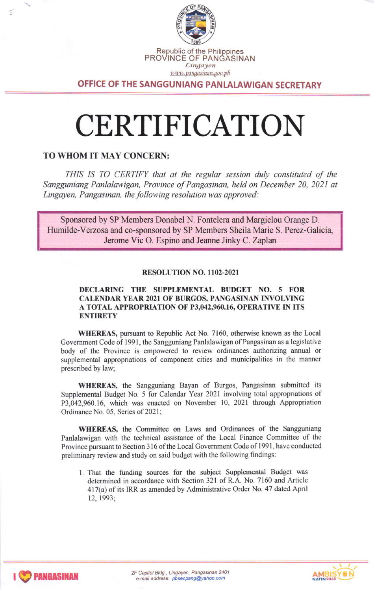

OFFICE OF THE SANGGUNIANG PANLALAWIGAN SECRETARY

# CERTIFICATION

## TO WHOM IT MAY CONCERN:

THIS IS TO CERTIFY that at the regular session duly constituted of the Sangguniang Panlalawigan, Province of Pangasinan, held on December 20, 2021 qt Lingayen, Pangasinan, the following resolution was approved:

Sponsored by SP Members Donabel N. Fontelera and Margielou Orange D. Humilde-Verzosa and co-sponsored by SP Members Sheila Marie S. Perez-Galicia, Jerome Vic O. Espino and Jeanne Jinky C. Zaplan

### RESOLUTION NO. 1102-2021

#### DECLARING THE SUPPLEMENTAL BUDGET NO. 5 FOR CALENDAR YEAR 2021 OF BURGOS, PANGASINAN INVOLVING A TOTAL APPROPRIATION OF P3,042,960.16, OPERATIVE IN ITS **ENTIRETY**

WHEREAS, pursuant to Republic Act No. 7160, otherwise known as the Local Government Code of 1991, the Sangguniang Panlalawigan of Pangasinan as a legislative body of the Province is empowered to review ordinances authorizing annual or supplemental appropriations of component cities and municipalities in the manner prescribed by law;

WHEREAS, the Sangguniang Bayan of Burgos, Pangasinan submitted its Supplemental Budget No. 5 for Calendar Year 2021 involving total appropriations of P3,042,960.16, which was enacted on November 10, 2021 through Appropriation Ordinance No. 05, Series of 2021

WHEREAS, the Committee on Laws and Ordinances of the Sangguniang Panlalawigan with the technical assistance of the Local Finance Committee of the Province pursuant to Section 316 of the Local Government Code of 1991, have conducted preliminary review and study on said budget with the following findings:

1. That the funding sources for the subject Supplemental Budget was determined in accordance with Section 321 of R.A. No. 7160 and Article 417(a) of its IRR as amended by Administrative Order No. 47 dated April 12,1993;